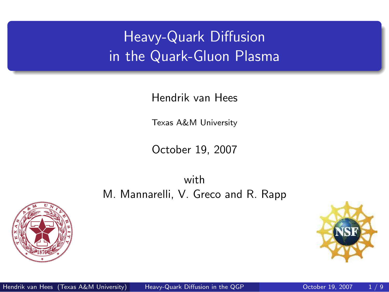# Heavy-Quark Diffusion in the Quark-Gluon Plasma

Hendrik van Hees

Texas A&M University

October 19, 2007

with M. Mannarelli, V. Greco and R. Rapp



<span id="page-0-0"></span>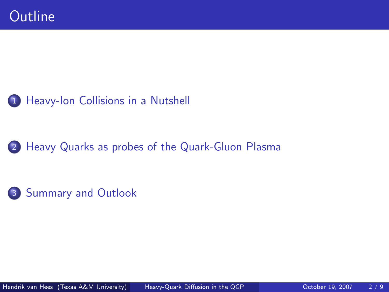#### 1 [Heavy-Ion Collisions in a Nutshell](#page-2-0)

#### 2 [Heavy Quarks as probes of the Quark-Gluon Plasma](#page-4-0)

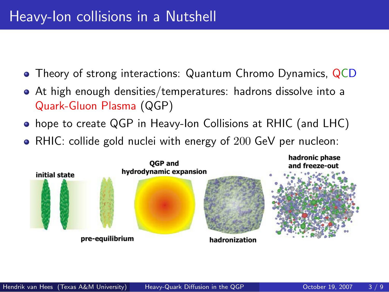### Heavy-Ion collisions in a Nutshell

- Theory of strong interactions: Quantum Chromo Dynamics, QCD
- At high enough densities/temperatures: hadrons dissolve into a Quark-Gluon Plasma (QGP)
- hope to create QGP in Heavy-Ion Collisions at RHIC (and LHC)
- RHIC: collide gold nuclei with energy of 200 GeV per nucleon:

<span id="page-2-0"></span>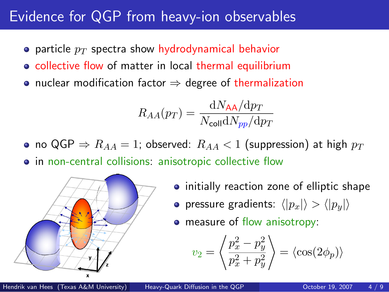### Evidence for QGP from heavy-ion observables

- particle  $p_T$  spectra show hydrodynamical behavior
- collective flow of matter in local thermal equilibrium
- nuclear modification factor  $\Rightarrow$  degree of thermalization

$$
R_{AA}(p_T) = \frac{\mathrm{d}N_{\mathsf{AA}}/\mathrm{d}p_T}{N_{\mathsf{coll}}\mathrm{d}N_{pp}/\mathrm{d}p_T}
$$

• no QGP  $\Rightarrow$   $R_{AA} = 1$ ; observed:  $R_{AA} < 1$  (suppression) at high  $p_T$ • in non-central collisions: anisotropic collective flow



- initially reaction zone of elliptic shape
- pressure gradients:  $\langle |p_x|\rangle > \langle |p_y|\rangle$
- measure of flow anisotropy:

$$
v_2 = \left\langle \frac{p_x^2 - p_y^2}{p_x^2 + p_y^2} \right\rangle = \left\langle \cos(2\phi_p) \right\rangle
$$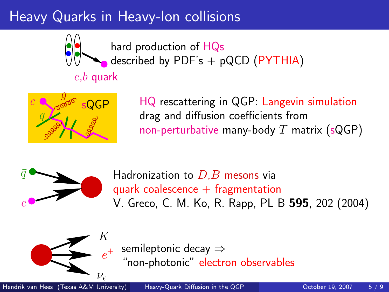# Heavy Quarks in Heavy-Ion collisions



hard production of HQs described by PDF's  $+$  pQCD (PYTHIA)

#### $c,b$  quark



HQ rescattering in QGP: Langevin simulation drag and diffusion coefficients from non-perturbative many-body  $T$  matrix (sQGP)



Hadronization to  $D.B$  mesons via quark coalescence  $+$  fragmentation V. Greco, C. M. Ko, R. Rapp, PL B 595, 202 (2004)



<span id="page-4-0"></span> $e^{\pm}$ semileptonic decay ⇒ "non-photonic" electron observables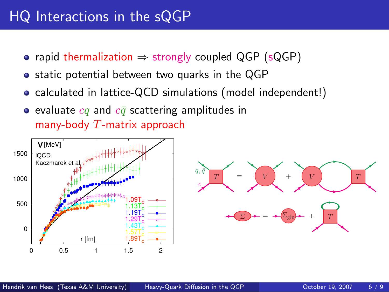### HQ Interactions in the sQGP

- rapid thermalization  $\Rightarrow$  strongly coupled QGP (sQGP)
- static potential between two quarks in the QGP
- calculated in lattice-QCD simulations (model independent!)
- evaluate  $cq$  and  $c\bar{q}$  scattering amplitudes in many-body  $T$ -matrix approach



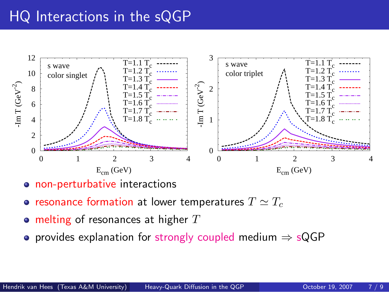### HQ Interactions in the sQGP



- o non-perturbative interactions
- resonance formation at lower temperatures  $T \simeq T_c$
- melting of resonances at higher  $T$
- provides explanation for strongly coupled medium  $\Rightarrow$  sQGP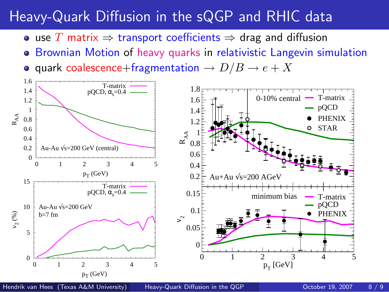## Heavy-Quark Diffusion in the sQGP and RHIC data

- use T matrix  $\Rightarrow$  transport coefficients  $\Rightarrow$  drag and diffusion
- **Brownian Motion of heavy quarks in relativistic Langevin simulation**
- quark coalescence+fragmentation  $\rightarrow D/B \rightarrow e + X$



Hendrik van Hees (Texas A&M University) Heavy-Quark Diffusion in the OGP October 19, 2007 8/9